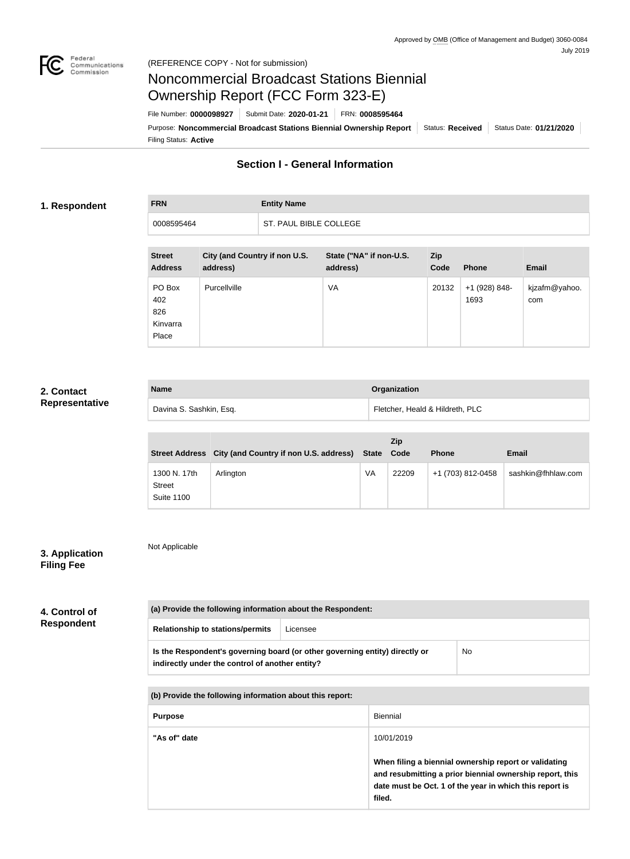

# Noncommercial Broadcast Stations Biennial Ownership Report (FCC Form 323-E)

Filing Status: **Active** Purpose: Noncommercial Broadcast Stations Biennial Ownership Report | Status: Received | Status Date: 01/21/2020 File Number: **0000098927** Submit Date: **2020-01-21** FRN: **0008595464**

# **Section I - General Information**

### **1. Respondent**

# **FRN Entity Name** 0008595464 ST. PAUL BIBLE COLLEGE

| <b>Street</b><br><b>Address</b>           | City (and Country if non U.S.<br>address) | State ("NA" if non-U.S.<br>address) | <b>Zip</b><br>Code | <b>Phone</b>          | <b>Email</b>         |
|-------------------------------------------|-------------------------------------------|-------------------------------------|--------------------|-----------------------|----------------------|
| PO Box<br>402<br>826<br>Kinvarra<br>Place | Purcellville                              | VA                                  | 20132              | +1 (928) 848-<br>1693 | kjzafm@yahoo.<br>com |

#### **2. Contact Representative**

| <b>Name</b>             | <b>Organization</b>             |
|-------------------------|---------------------------------|
| Davina S. Sashkin, Esq. | Fletcher, Heald & Hildreth, PLC |

|                                                    | Street Address City (and Country if non U.S. address) | State Code | Zip   | <b>Phone</b>      | Email              |
|----------------------------------------------------|-------------------------------------------------------|------------|-------|-------------------|--------------------|
| 1300 N. 17th<br><b>Street</b><br><b>Suite 1100</b> | Arlington                                             | VA         | 22209 | +1 (703) 812-0458 | sashkin@fhhlaw.com |

# **3. Application Filing Fee**

Not Applicable

| 4. Control of     | (a) Provide the following information about the Respondent:                                                                    |          |            |                                                                                                                                                                              |  |
|-------------------|--------------------------------------------------------------------------------------------------------------------------------|----------|------------|------------------------------------------------------------------------------------------------------------------------------------------------------------------------------|--|
| <b>Respondent</b> | <b>Relationship to stations/permits</b>                                                                                        | Licensee |            |                                                                                                                                                                              |  |
|                   | Is the Respondent's governing board (or other governing entity) directly or<br>indirectly under the control of another entity? |          |            | <b>No</b>                                                                                                                                                                    |  |
|                   | (b) Provide the following information about this report:                                                                       |          |            |                                                                                                                                                                              |  |
|                   | <b>Biennial</b><br><b>Purpose</b>                                                                                              |          |            |                                                                                                                                                                              |  |
|                   | "As of" date                                                                                                                   |          | 10/01/2019 |                                                                                                                                                                              |  |
|                   |                                                                                                                                |          | filed.     | When filing a biennial ownership report or validating<br>and resubmitting a prior biennial ownership report, this<br>date must be Oct. 1 of the year in which this report is |  |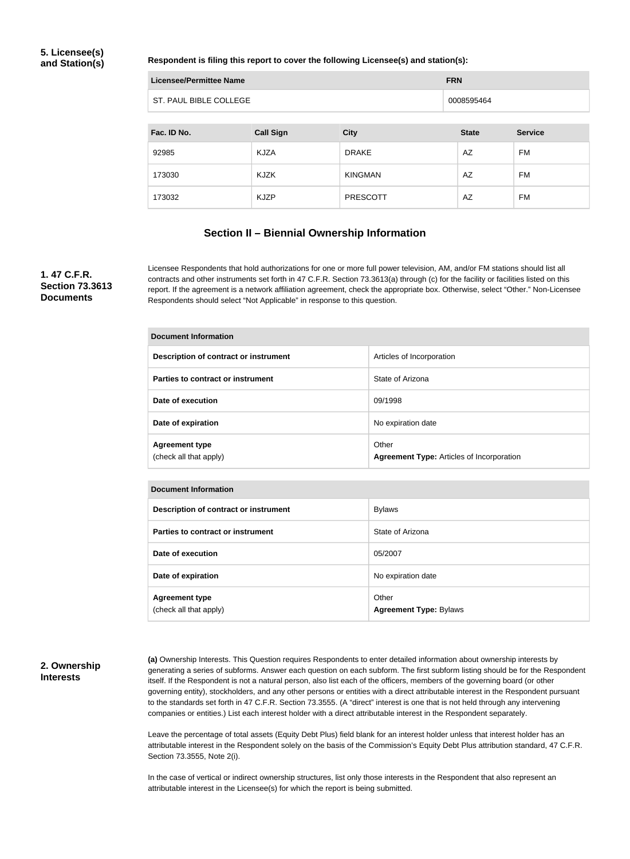### **5. Licensee(s) and Station(s)**

#### **Respondent is filing this report to cover the following Licensee(s) and station(s):**

| Licensee/Permittee Name | <b>FRN</b> |
|-------------------------|------------|
| ST. PAUL BIBLE COLLEGE  | 0008595464 |

| Fac. ID No. | <b>Call Sign</b> | <b>City</b>     | <b>State</b> | <b>Service</b> |
|-------------|------------------|-----------------|--------------|----------------|
| 92985       | <b>KJZA</b>      | <b>DRAKE</b>    | AZ           | FM             |
| 173030      | KJZK             | <b>KINGMAN</b>  | AZ           | FM             |
| 173032      | <b>KJZP</b>      | <b>PRESCOTT</b> | AZ           | FM             |

### **Section II – Biennial Ownership Information**

## **1. 47 C.F.R. Section 73.3613 Documents**

Licensee Respondents that hold authorizations for one or more full power television, AM, and/or FM stations should list all contracts and other instruments set forth in 47 C.F.R. Section 73.3613(a) through (c) for the facility or facilities listed on this report. If the agreement is a network affiliation agreement, check the appropriate box. Otherwise, select "Other." Non-Licensee Respondents should select "Not Applicable" in response to this question.

| Document Information                            |                                                           |  |
|-------------------------------------------------|-----------------------------------------------------------|--|
| Description of contract or instrument           | Articles of Incorporation                                 |  |
| Parties to contract or instrument               | State of Arizona                                          |  |
| Date of execution                               | 09/1998                                                   |  |
| Date of expiration                              | No expiration date                                        |  |
| <b>Agreement type</b><br>(check all that apply) | Other<br><b>Agreement Type: Articles of Incorporation</b> |  |

| <b>Document Information</b> |  |
|-----------------------------|--|
|-----------------------------|--|

| Description of contract or instrument           | <b>Bylaws</b>                          |
|-------------------------------------------------|----------------------------------------|
| Parties to contract or instrument               | State of Arizona                       |
| Date of execution                               | 05/2007                                |
| Date of expiration                              | No expiration date                     |
| <b>Agreement type</b><br>(check all that apply) | Other<br><b>Agreement Type: Bylaws</b> |

### **2. Ownership Interests**

**(a)** Ownership Interests. This Question requires Respondents to enter detailed information about ownership interests by generating a series of subforms. Answer each question on each subform. The first subform listing should be for the Respondent itself. If the Respondent is not a natural person, also list each of the officers, members of the governing board (or other governing entity), stockholders, and any other persons or entities with a direct attributable interest in the Respondent pursuant to the standards set forth in 47 C.F.R. Section 73.3555. (A "direct" interest is one that is not held through any intervening companies or entities.) List each interest holder with a direct attributable interest in the Respondent separately.

Leave the percentage of total assets (Equity Debt Plus) field blank for an interest holder unless that interest holder has an attributable interest in the Respondent solely on the basis of the Commission's Equity Debt Plus attribution standard, 47 C.F.R. Section 73.3555, Note 2(i).

In the case of vertical or indirect ownership structures, list only those interests in the Respondent that also represent an attributable interest in the Licensee(s) for which the report is being submitted.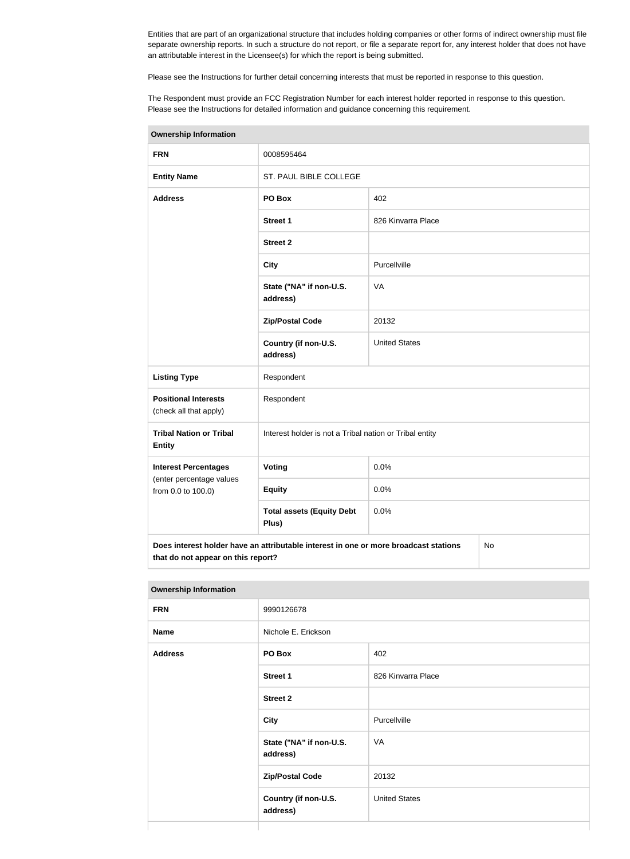Entities that are part of an organizational structure that includes holding companies or other forms of indirect ownership must file separate ownership reports. In such a structure do not report, or file a separate report for, any interest holder that does not have an attributable interest in the Licensee(s) for which the report is being submitted.

Please see the Instructions for further detail concerning interests that must be reported in response to this question.

The Respondent must provide an FCC Registration Number for each interest holder reported in response to this question. Please see the Instructions for detailed information and guidance concerning this requirement.

| <b>Ownership Information</b>                                                                                                     |                                                         |                      |  |  |
|----------------------------------------------------------------------------------------------------------------------------------|---------------------------------------------------------|----------------------|--|--|
| <b>FRN</b>                                                                                                                       | 0008595464                                              |                      |  |  |
| <b>Entity Name</b>                                                                                                               | ST. PAUL BIBLE COLLEGE                                  |                      |  |  |
| <b>Address</b>                                                                                                                   | PO Box                                                  | 402                  |  |  |
|                                                                                                                                  | <b>Street 1</b>                                         | 826 Kinvarra Place   |  |  |
|                                                                                                                                  | <b>Street 2</b>                                         |                      |  |  |
|                                                                                                                                  | <b>City</b>                                             | Purcellville         |  |  |
|                                                                                                                                  | State ("NA" if non-U.S.<br>address)                     | <b>VA</b>            |  |  |
|                                                                                                                                  | <b>Zip/Postal Code</b>                                  | 20132                |  |  |
|                                                                                                                                  | Country (if non-U.S.<br>address)                        | <b>United States</b> |  |  |
| <b>Listing Type</b>                                                                                                              | Respondent                                              |                      |  |  |
| <b>Positional Interests</b><br>(check all that apply)                                                                            | Respondent                                              |                      |  |  |
| <b>Tribal Nation or Tribal</b><br><b>Entity</b>                                                                                  | Interest holder is not a Tribal nation or Tribal entity |                      |  |  |
| <b>Interest Percentages</b>                                                                                                      | Voting                                                  | 0.0%                 |  |  |
| (enter percentage values<br>from 0.0 to 100.0)                                                                                   | <b>Equity</b>                                           | 0.0%                 |  |  |
|                                                                                                                                  | <b>Total assets (Equity Debt</b><br>Plus)               | 0.0%                 |  |  |
| Does interest holder have an attributable interest in one or more broadcast stations<br>No<br>that do not appear on this report? |                                                         |                      |  |  |

| <b>Ownership Information</b> |                                     |                      |
|------------------------------|-------------------------------------|----------------------|
| <b>FRN</b>                   | 9990126678                          |                      |
| <b>Name</b>                  | Nichole E. Erickson                 |                      |
| <b>Address</b>               | PO Box                              | 402                  |
|                              | <b>Street 1</b>                     | 826 Kinvarra Place   |
|                              | <b>Street 2</b>                     |                      |
|                              | <b>City</b>                         | Purcellville         |
|                              | State ("NA" if non-U.S.<br>address) | VA                   |
|                              | <b>Zip/Postal Code</b>              | 20132                |
|                              | Country (if non-U.S.<br>address)    | <b>United States</b> |
|                              |                                     |                      |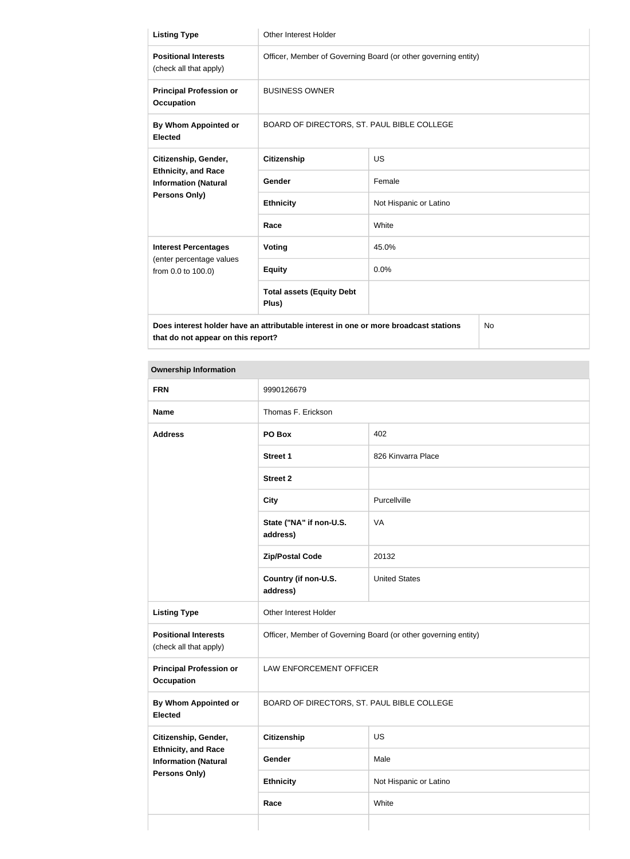| <b>Listing Type</b>                                                                         | <b>Other Interest Holder</b>                                   |                        |  |
|---------------------------------------------------------------------------------------------|----------------------------------------------------------------|------------------------|--|
| <b>Positional Interests</b><br>(check all that apply)                                       | Officer, Member of Governing Board (or other governing entity) |                        |  |
| <b>Principal Profession or</b><br><b>Occupation</b>                                         | <b>BUSINESS OWNER</b>                                          |                        |  |
| By Whom Appointed or<br><b>Elected</b>                                                      | BOARD OF DIRECTORS, ST. PAUL BIBLE COLLEGE                     |                        |  |
| Citizenship, Gender,                                                                        | <b>Citizenship</b>                                             | <b>US</b>              |  |
| <b>Ethnicity, and Race</b><br><b>Information (Natural</b>                                   | Gender                                                         | Female                 |  |
| <b>Persons Only)</b>                                                                        | <b>Ethnicity</b>                                               | Not Hispanic or Latino |  |
|                                                                                             | Race                                                           | White                  |  |
| <b>Interest Percentages</b>                                                                 | Voting                                                         | 45.0%                  |  |
| (enter percentage values<br>from 0.0 to 100.0)                                              | <b>Equity</b>                                                  | 0.0%                   |  |
|                                                                                             | <b>Total assets (Equity Debt</b><br>Plus)                      |                        |  |
| Does interest holder have an attributable interest in one or more broadcast stations<br>No. |                                                                |                        |  |

**that do not appear on this report?**

| <b>Ownership Information</b>                                                                              |                                                                |                        |  |  |
|-----------------------------------------------------------------------------------------------------------|----------------------------------------------------------------|------------------------|--|--|
| <b>FRN</b>                                                                                                | 9990126679                                                     |                        |  |  |
| <b>Name</b>                                                                                               | Thomas F. Erickson                                             |                        |  |  |
| <b>Address</b>                                                                                            | PO Box                                                         | 402                    |  |  |
|                                                                                                           | <b>Street 1</b>                                                | 826 Kinvarra Place     |  |  |
|                                                                                                           | <b>Street 2</b>                                                |                        |  |  |
|                                                                                                           | <b>City</b>                                                    | Purcellville           |  |  |
|                                                                                                           | State ("NA" if non-U.S.<br>address)                            | VA                     |  |  |
|                                                                                                           | <b>Zip/Postal Code</b>                                         | 20132                  |  |  |
|                                                                                                           | Country (if non-U.S.<br>address)                               | <b>United States</b>   |  |  |
| <b>Listing Type</b>                                                                                       | Other Interest Holder                                          |                        |  |  |
| <b>Positional Interests</b><br>(check all that apply)                                                     | Officer, Member of Governing Board (or other governing entity) |                        |  |  |
| <b>Principal Profession or</b><br><b>Occupation</b>                                                       | LAW ENFORCEMENT OFFICER                                        |                        |  |  |
| <b>By Whom Appointed or</b><br><b>Elected</b>                                                             | BOARD OF DIRECTORS, ST. PAUL BIBLE COLLEGE                     |                        |  |  |
| Citizenship, Gender,<br><b>Ethnicity, and Race</b><br><b>Information (Natural</b><br><b>Persons Only)</b> | <b>Citizenship</b>                                             | US                     |  |  |
|                                                                                                           | Gender                                                         | Male                   |  |  |
|                                                                                                           | <b>Ethnicity</b>                                               | Not Hispanic or Latino |  |  |
|                                                                                                           | Race                                                           | White                  |  |  |
|                                                                                                           |                                                                |                        |  |  |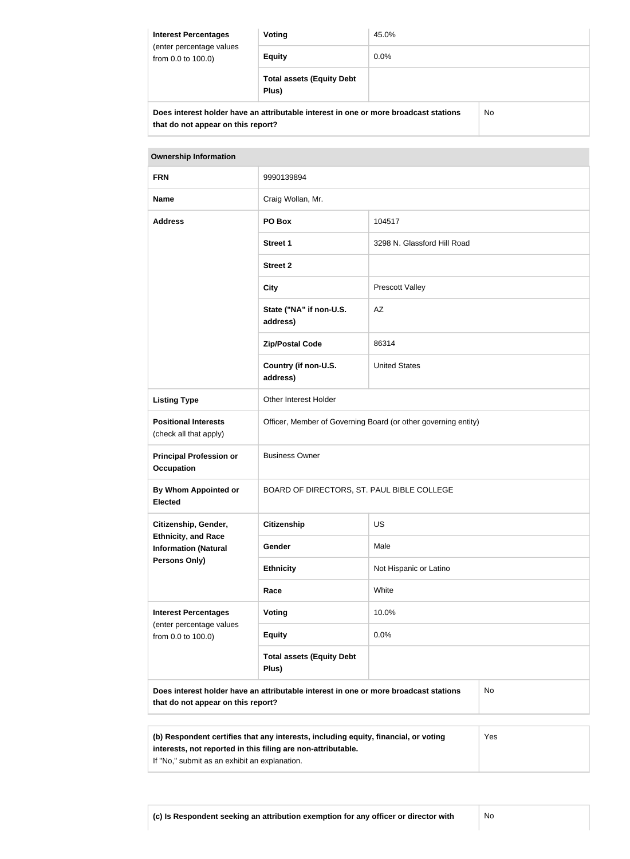| <b>Interest Percentages</b><br>(enter percentage values<br>from 0.0 to 100.0)        | Voting                                    | 45.0%   |    |
|--------------------------------------------------------------------------------------|-------------------------------------------|---------|----|
|                                                                                      | <b>Equity</b>                             | $0.0\%$ |    |
|                                                                                      | <b>Total assets (Equity Debt</b><br>Plus) |         |    |
| Does interest holder have an attributable interest in one or more broadcast stations |                                           |         | No |

**that do not appear on this report?**

| <b>Ownership Information</b>                                                                                                     |                                                                |                             |  |  |
|----------------------------------------------------------------------------------------------------------------------------------|----------------------------------------------------------------|-----------------------------|--|--|
| <b>FRN</b>                                                                                                                       | 9990139894                                                     |                             |  |  |
| <b>Name</b>                                                                                                                      | Craig Wollan, Mr.                                              |                             |  |  |
| <b>Address</b>                                                                                                                   | PO Box                                                         | 104517                      |  |  |
|                                                                                                                                  | <b>Street 1</b>                                                | 3298 N. Glassford Hill Road |  |  |
|                                                                                                                                  | <b>Street 2</b>                                                |                             |  |  |
|                                                                                                                                  | <b>City</b>                                                    | <b>Prescott Valley</b>      |  |  |
|                                                                                                                                  | State ("NA" if non-U.S.<br>address)                            | AZ                          |  |  |
|                                                                                                                                  | <b>Zip/Postal Code</b>                                         | 86314                       |  |  |
|                                                                                                                                  | Country (if non-U.S.<br>address)                               | <b>United States</b>        |  |  |
| <b>Listing Type</b>                                                                                                              | Other Interest Holder                                          |                             |  |  |
| <b>Positional Interests</b><br>(check all that apply)                                                                            | Officer, Member of Governing Board (or other governing entity) |                             |  |  |
| <b>Principal Profession or</b><br><b>Occupation</b>                                                                              | <b>Business Owner</b>                                          |                             |  |  |
| By Whom Appointed or<br><b>Elected</b>                                                                                           | BOARD OF DIRECTORS, ST. PAUL BIBLE COLLEGE                     |                             |  |  |
| Citizenship, Gender,<br><b>Ethnicity, and Race</b><br><b>Information (Natural</b><br><b>Persons Only)</b>                        | <b>Citizenship</b>                                             | <b>US</b>                   |  |  |
|                                                                                                                                  | Gender                                                         | Male                        |  |  |
|                                                                                                                                  | <b>Ethnicity</b>                                               | Not Hispanic or Latino      |  |  |
|                                                                                                                                  | Race                                                           | White                       |  |  |
| <b>Interest Percentages</b><br>(enter percentage values<br>from 0.0 to 100.0)                                                    | <b>Voting</b>                                                  | 10.0%                       |  |  |
|                                                                                                                                  | <b>Equity</b>                                                  | 0.0%                        |  |  |
|                                                                                                                                  | <b>Total assets (Equity Debt</b><br>Plus)                      |                             |  |  |
| Does interest holder have an attributable interest in one or more broadcast stations<br>No<br>that do not appear on this report? |                                                                |                             |  |  |

**(b) Respondent certifies that any interests, including equity, financial, or voting interests, not reported in this filing are non-attributable.** If "No," submit as an exhibit an explanation. Yes